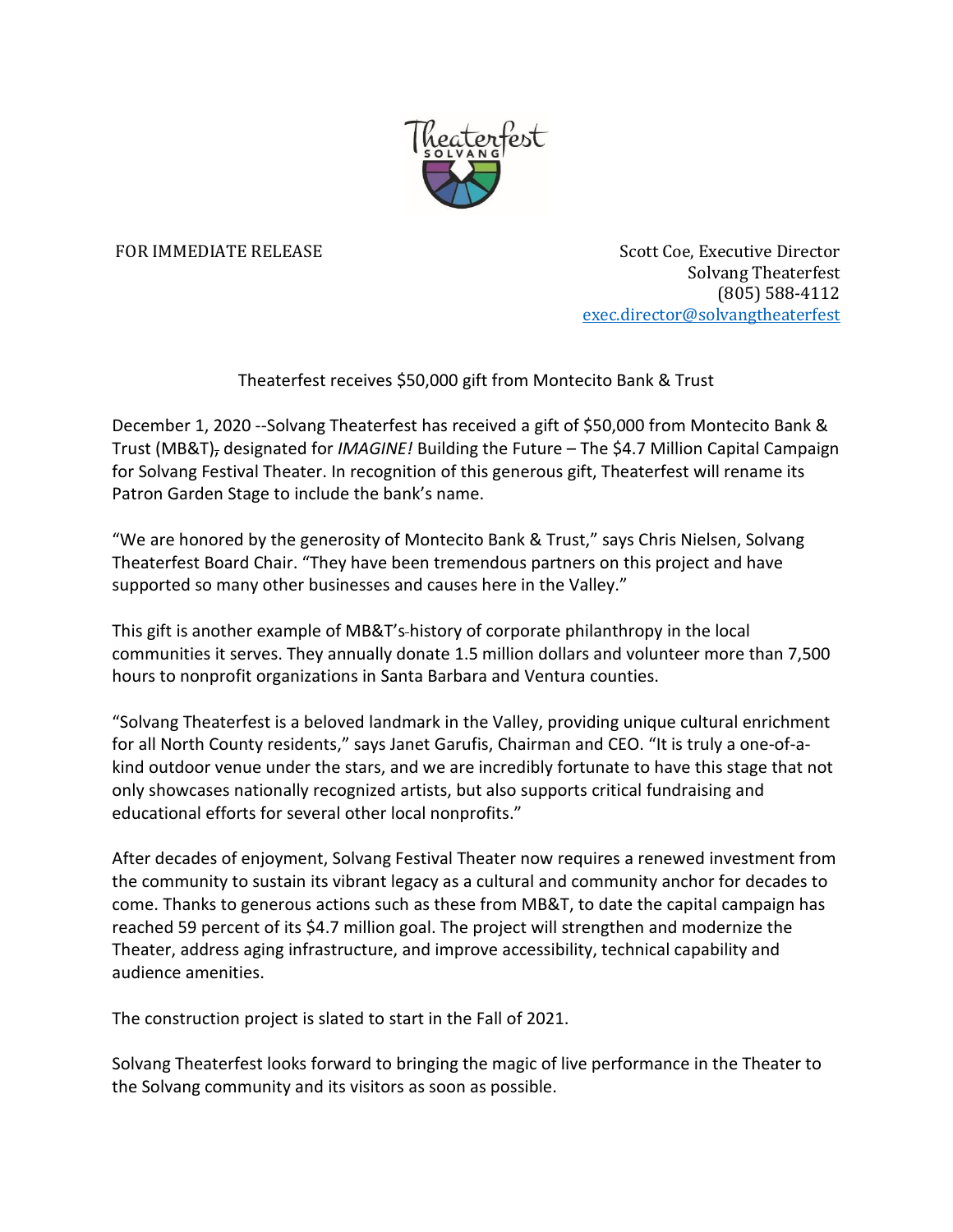

FOR IMMEDIATE RELEASE Scott Coe, Executive Director Solvang Theaterfest (805) 588-4112 [exec.director@solvangtheaterfest](mailto:exec.director@solvangtheaterfest)

Theaterfest receives \$50,000 gift from Montecito Bank & Trust

December 1, 2020 --Solvang Theaterfest has received a gift of \$50,000 from Montecito Bank & Trust (MB&T), designated for *IMAGINE!* Building the Future – The \$4.7 Million Capital Campaign for Solvang Festival Theater. In recognition of this generous gift, Theaterfest will rename its Patron Garden Stage to include the bank's name.

"We are honored by the generosity of Montecito Bank & Trust," says Chris Nielsen, Solvang Theaterfest Board Chair. "They have been tremendous partners on this project and have supported so many other businesses and causes here in the Valley."

This gift is another example of MB&T's history of corporate philanthropy in the local communities it serves. They annually donate 1.5 million dollars and volunteer more than 7,500 hours to nonprofit organizations in Santa Barbara and Ventura counties.

"Solvang Theaterfest is a beloved landmark in the Valley, providing unique cultural enrichment for all North County residents," says Janet Garufis, Chairman and CEO. "It is truly a one-of-akind outdoor venue under the stars, and we are incredibly fortunate to have this stage that not only showcases nationally recognized artists, but also supports critical fundraising and educational efforts for several other local nonprofits."

After decades of enjoyment, Solvang Festival Theater now requires a renewed investment from the community to sustain its vibrant legacy as a cultural and community anchor for decades to come. Thanks to generous actions such as these from MB&T, to date the capital campaign has reached 59 percent of its \$4.7 million goal. The project will strengthen and modernize the Theater, address aging infrastructure, and improve accessibility, technical capability and audience amenities.

The construction project is slated to start in the Fall of 2021.

Solvang Theaterfest looks forward to bringing the magic of live performance in the Theater to the Solvang community and its visitors as soon as possible.